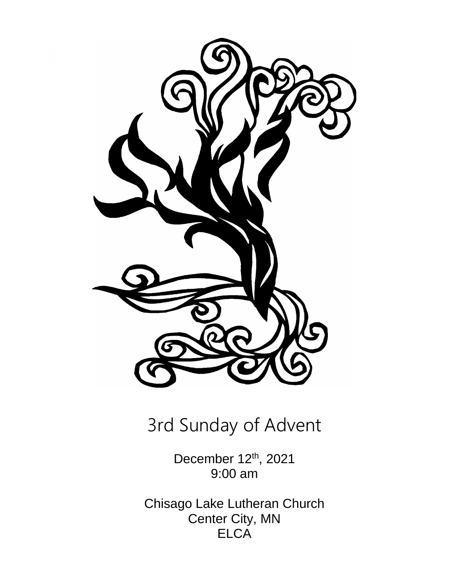

# 3rd Sunday of Advent

December 12<sup>th</sup>, 2021 9:00 am

Chisago Lake Lutheran Church Center City, MN **ELCA**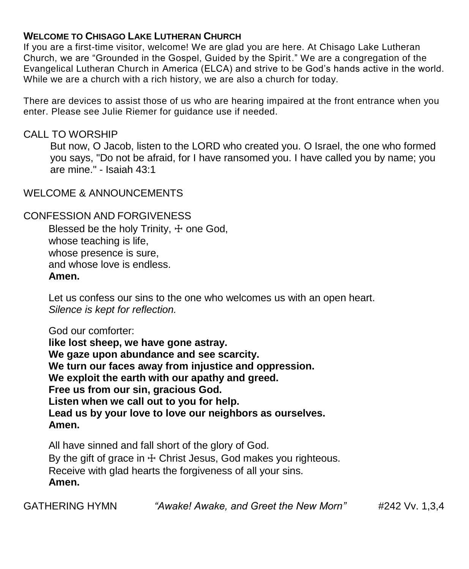#### **WELCOME TO CHISAGO LAKE LUTHERAN CHURCH**

If you are a first-time visitor, welcome! We are glad you are here. At Chisago Lake Lutheran Church, we are "Grounded in the Gospel, Guided by the Spirit." We are a congregation of the Evangelical Lutheran Church in America (ELCA) and strive to be God's hands active in the world. While we are a church with a rich history, we are also a church for today.

There are devices to assist those of us who are hearing impaired at the front entrance when you enter. Please see Julie Riemer for guidance use if needed.

#### CALL TO WORSHIP

But now, O Jacob, listen to the LORD who created you. O Israel, the one who formed you says, "Do not be afraid, for I have ransomed you. I have called you by name; you are mine." - Isaiah 43:1

WELCOME & ANNOUNCEMENTS

#### CONFESSION AND FORGIVENESS

Blessed be the holy Trinity,  $\pm$  one God, whose teaching is life, whose presence is sure, and whose love is endless. **Amen.**

Let us confess our sins to the one who welcomes us with an open heart. *Silence is kept for reflection.*

God our comforter: **like lost sheep, we have gone astray. We gaze upon abundance and see scarcity. We turn our faces away from injustice and oppression. We exploit the earth with our apathy and greed. Free us from our sin, gracious God. Listen when we call out to you for help. Lead us by your love to love our neighbors as ourselves. Amen.**

All have sinned and fall short of the glory of God. By the gift of grace in  $+$  Christ Jesus, God makes you righteous. Receive with glad hearts the forgiveness of all your sins. **Amen.**

GATHERING HYMN *"Awake! Awake, and Greet the New Morn"* #242 Vv. 1,3,4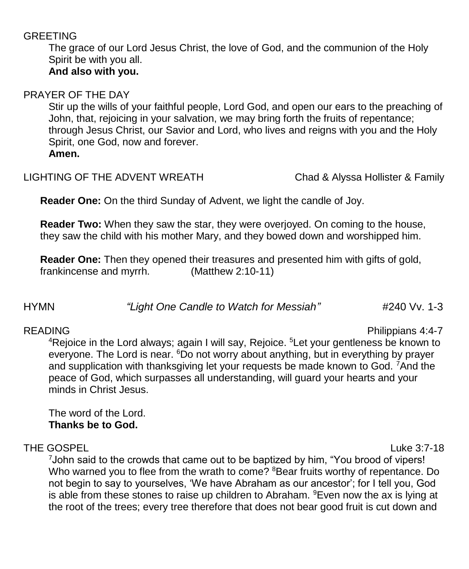#### GREETING

The grace of our Lord Jesus Christ, the love of God, and the communion of the Holy Spirit be with you all. **And also with you.**

#### PRAYER OF THE DAY

Stir up the wills of your faithful people, Lord God, and open our ears to the preaching of John, that, rejoicing in your salvation, we may bring forth the fruits of repentance; through Jesus Christ, our Savior and Lord, who lives and reigns with you and the Holy Spirit, one God, now and forever. **Amen.**

#### LIGHTING OF THE ADVENT WREATH Chad & Alyssa Hollister & Family

**Reader One:** On the third Sunday of Advent, we light the candle of Joy.

**Reader Two:** When they saw the star, they were overjoyed. On coming to the house, they saw the child with his mother Mary, and they bowed down and worshipped him.

**Reader One:** Then they opened their treasures and presented him with gifts of gold, frankincense and myrrh. (Matthew 2:10-11)

### HYMN *"Light One Candle to Watch for Messiah"* #240 Vv. 1-3

#### READING Philippians 4:4-7

<sup>4</sup>Rejoice in the Lord always; again I will say, Rejoice. <sup>5</sup>Let your gentleness be known to everyone. The Lord is near. <sup>6</sup>Do not worry about anything, but in everything by prayer and supplication with thanksgiving let your requests be made known to God. <sup>7</sup>And the peace of God, which surpasses all understanding, will guard your hearts and your minds in Christ Jesus.

The word of the Lord. **Thanks be to God.**

#### THE GOSPELLuke 3:7-18

<sup>7</sup>John said to the crowds that came out to be baptized by him, "You brood of vipers! Who warned you to flee from the wrath to come? <sup>8</sup>Bear fruits worthy of repentance. Do not begin to say to yourselves, 'We have Abraham as our ancestor'; for I tell you, God is able from these stones to raise up children to Abraham.  $9$ Even now the ax is lying at the root of the trees; every tree therefore that does not bear good fruit is cut down and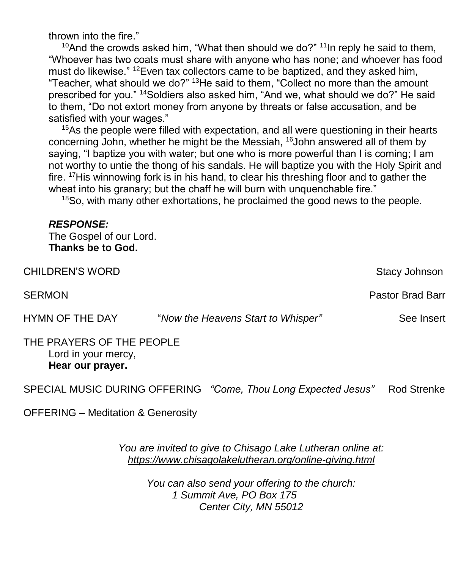thrown into the fire."

<sup>10</sup>And the crowds asked him, "What then should we do?" <sup>11</sup>In reply he said to them, "Whoever has two coats must share with anyone who has none; and whoever has food must do likewise." <sup>12</sup>Even tax collectors came to be baptized, and they asked him, "Teacher, what should we do?" <sup>13</sup>He said to them, "Collect no more than the amount prescribed for you." <sup>14</sup>Soldiers also asked him, "And we, what should we do?" He said to them, "Do not extort money from anyone by threats or false accusation, and be satisfied with your wages."

<sup>15</sup>As the people were filled with expectation, and all were questioning in their hearts concerning John, whether he might be the Messiah, <sup>16</sup>John answered all of them by saying, "I baptize you with water; but one who is more powerful than I is coming; I am not worthy to untie the thong of his sandals. He will baptize you with the Holy Spirit and fire. <sup>17</sup>His winnowing fork is in his hand, to clear his threshing floor and to gather the wheat into his granary; but the chaff he will burn with unquenchable fire."

<sup>18</sup>So, with many other exhortations, he proclaimed the good news to the people.

#### *RESPONSE:*

The Gospel of our Lord. **Thanks be to God.**

| <b>CHILDREN'S WORD</b>                                               |                                    | Stacy Johnson           |
|----------------------------------------------------------------------|------------------------------------|-------------------------|
| <b>SERMON</b>                                                        |                                    | <b>Pastor Brad Barr</b> |
| HYMN OF THE DAY                                                      | "Now the Heavens Start to Whisper" | See Insert              |
| THE PRAYERS OF THE PEOPLE<br>Lord in your mercy,<br>Hear our prayer. |                                    |                         |

SPECIAL MUSIC DURING OFFERING *"Come, Thou Long Expected Jesus"* Rod Strenke

OFFERING – Meditation & Generosity

*You are invited to give to Chisago Lake Lutheran online at: <https://www.chisagolakelutheran.org/online-giving.html>*

> *You can also send your offering to the church: 1 Summit Ave, PO Box 175 Center City, MN 55012*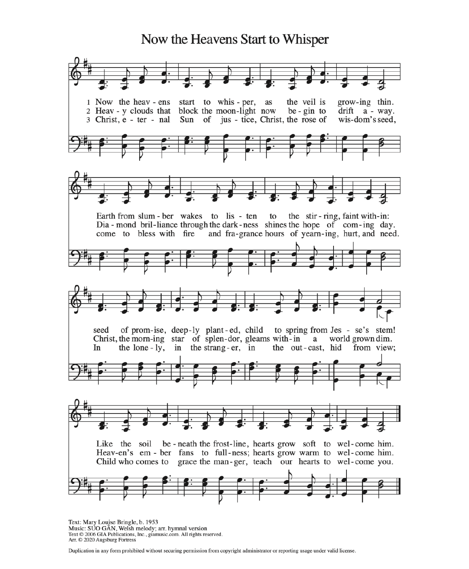## Now the Heavens Start to Whisper 1 Now the heav - ens the veil is start to whis - per, as grow-ing thin. 2 Heav - y clouds that block the moon-light now  $be - gin to$  $drift$   $a$  - way. 3 Christ, e - ter - nal Sun of jus - tice, Christ, the rose of wis-dom's seed, Earth from slum - ber wakes to lis - ten the stir-ring, faint with-in: to Dia - mond bril-liance through the dark-ness shines the hope of com-ing day. come to bless with fire and fra-grance hours of yearn-ing, hurt, and need. of prom-ise, deep-ly plant-ed, child seed to spring from Jes - se's stem! Christ, the morn-ing star of splen-dor, gleams with-in  $\alpha$  world grown dim. In the lone - ly, in the strang-er, in the out-cast, hid from view; Like the soil be-neath the frost-line, hearts grow soft to wel-come him. Heav-en's em - ber fans to full-ness; hearts grow warm to wel-come him. Child who comes to grace the man-ger, teach our hearts to wel-come you.

Text: Mary Louise Bringle, b. 1953<br>Music: SUO GÂN, Welsh melody; arr. hymnal version Text © 2006 GIA Publications, Inc., giamusic.com. All rights reserved. Arr. C 2020 Augsburg Fortress

Duplication in any form prohibited without securing permission from copyright administrator or reporting usage under valid license.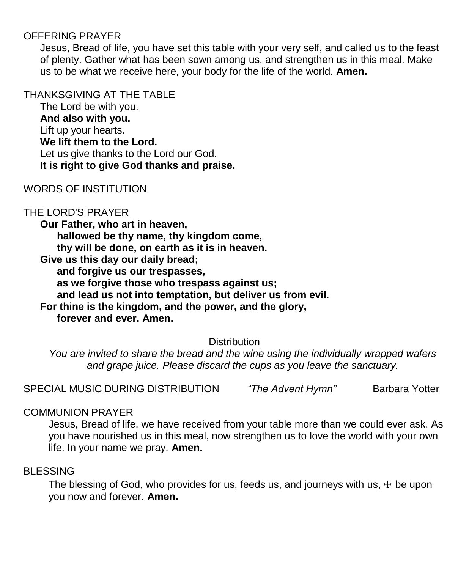#### OFFERING PRAYER

Jesus, Bread of life, you have set this table with your very self, and called us to the feast of plenty. Gather what has been sown among us, and strengthen us in this meal. Make us to be what we receive here, your body for the life of the world. **Amen.**

#### THANKSGIVING AT THE TABLE

The Lord be with you. **And also with you.** Lift up your hearts. **We lift them to the Lord.** Let us give thanks to the Lord our God. **It is right to give God thanks and praise.**

#### WORDS OF INSTITUTION

#### THE LORD'S PRAYER

**Our Father, who art in heaven, hallowed be thy name, thy kingdom come, thy will be done, on earth as it is in heaven. Give us this day our daily bread; and forgive us our trespasses, as we forgive those who trespass against us;**

**and lead us not into temptation, but deliver us from evil.**

**For thine is the kingdom, and the power, and the glory, forever and ever. Amen.**

**Distribution** 

*You are invited to share the bread and the wine using the individually wrapped wafers and grape juice. Please discard the cups as you leave the sanctuary.*

SPECIAL MUSIC DURING DISTRIBUTION *"The Advent Hymn"* Barbara Yotter

#### COMMUNION PRAYER

Jesus, Bread of life, we have received from your table more than we could ever ask. As you have nourished us in this meal, now strengthen us to love the world with your own life. In your name we pray. **Amen.**

#### BLESSING

The blessing of God, who provides for us, feeds us, and journeys with us,  $\pm$  be upon you now and forever. **Amen.**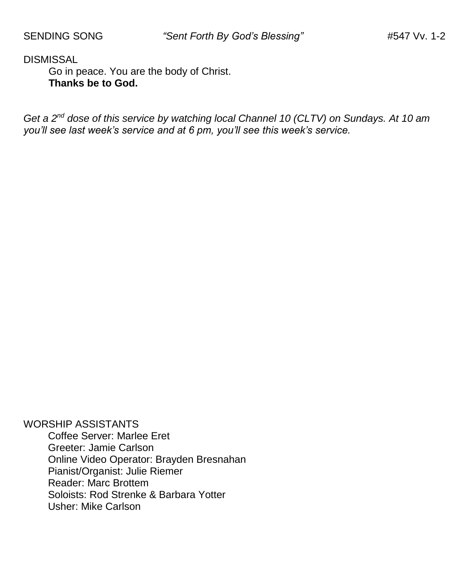DISMISSAL

Go in peace. You are the body of Christ. **Thanks be to God.**

*Get a 2nd dose of this service by watching local Channel 10 (CLTV) on Sundays. At 10 am you'll see last week's service and at 6 pm, you'll see this week's service.*

WORSHIP ASSISTANTS Coffee Server: Marlee Eret Greeter: Jamie Carlson Online Video Operator: Brayden Bresnahan Pianist/Organist: Julie Riemer Reader: Marc Brottem Soloists: Rod Strenke & Barbara Yotter Usher: Mike Carlson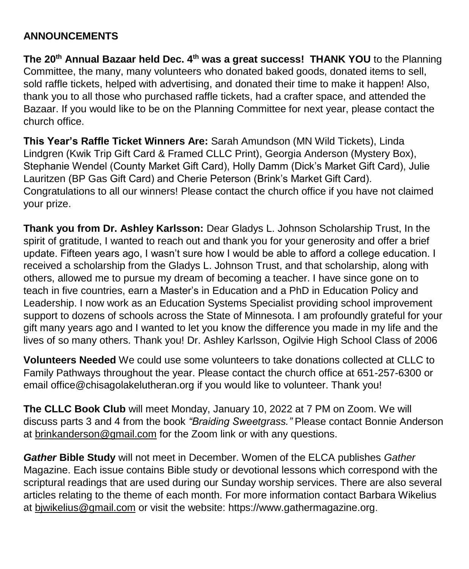#### **ANNOUNCEMENTS**

**The 20th Annual Bazaar held Dec. 4th was a great success! THANK YOU** to the Planning Committee, the many, many volunteers who donated baked goods, donated items to sell, sold raffle tickets, helped with advertising, and donated their time to make it happen! Also, thank you to all those who purchased raffle tickets, had a crafter space, and attended the Bazaar. If you would like to be on the Planning Committee for next year, please contact the church office.

**This Year's Raffle Ticket Winners Are:** Sarah Amundson (MN Wild Tickets), Linda Lindgren (Kwik Trip Gift Card & Framed CLLC Print), Georgia Anderson (Mystery Box), Stephanie Wendel (County Market Gift Card), Holly Damm (Dick's Market Gift Card), Julie Lauritzen (BP Gas Gift Card) and Cherie Peterson (Brink's Market Gift Card). Congratulations to all our winners! Please contact the church office if you have not claimed your prize.

**Thank you from Dr. Ashley Karlsson:** Dear Gladys L. Johnson Scholarship Trust, In the spirit of gratitude, I wanted to reach out and thank you for your generosity and offer a brief update. Fifteen years ago, I wasn't sure how I would be able to afford a college education. I received a scholarship from the Gladys L. Johnson Trust, and that scholarship, along with others, allowed me to pursue my dream of becoming a teacher. I have since gone on to teach in five countries, earn a Master's in Education and a PhD in Education Policy and Leadership. I now work as an Education Systems Specialist providing school improvement support to dozens of schools across the State of Minnesota. I am profoundly grateful for your gift many years ago and I wanted to let you know the difference you made in my life and the lives of so many others. Thank you! Dr. Ashley Karlsson, Ogilvie High School Class of 2006

**Volunteers Needed** We could use some volunteers to take donations collected at CLLC to Family Pathways throughout the year. Please contact the church office at 651-257-6300 or email [office@chisagolakelutheran.org](mailto:office@chisagolakelutheran.org) if you would like to volunteer. Thank you!

**The CLLC Book Club** will meet Monday, January 10, 2022 at 7 PM on Zoom. We will discuss parts 3 and 4 from the book *"Braiding Sweetgrass."* Please contact Bonnie Anderson at [brinkanderson@gmail.com](mailto:brinkanderson@gmail.com) for the Zoom link or with any questions.

*Gather* **Bible Study** will not meet in December. Women of the ELCA publishes *Gather*  Magazine. Each issue contains Bible study or devotional lessons which correspond with the scriptural readings that are used during our Sunday worship services. There are also several articles relating to the theme of each month. For more information contact Barbara Wikelius at [bjwikelius@gmail.com](mailto:bjwikelius@gmail.com) or visit the website: [https://www.gathermagazine.org](https://www.gathermagazine.org/).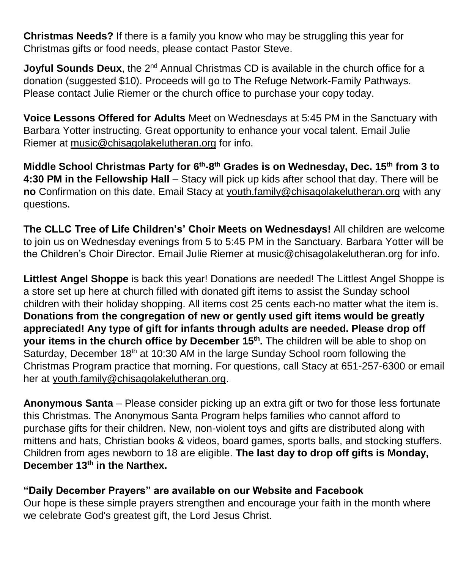**Christmas Needs?** If there is a family you know who may be struggling this year for Christmas gifts or food needs, please contact Pastor Steve.

**Joyful Sounds Deux**, the 2<sup>nd</sup> Annual Christmas CD is available in the church office for a donation (suggested \$10). Proceeds will go to The Refuge Network-Family Pathways. Please contact Julie Riemer or the church office to purchase your copy today.

**Voice Lessons Offered for Adults** Meet on Wednesdays at 5:45 PM in the Sanctuary with Barbara Yotter instructing. Great opportunity to enhance your vocal talent. Email Julie Riemer at [music@chisagolakelutheran.org](mailto:music@chisagolakelutheran.org) for info.

**Middle School Christmas Party for 6th -8 th Grades is on Wednesday, Dec. 15th from 3 to 4:30 PM in the Fellowship Hall** – Stacy will pick up kids after school that day. There will be **no** Confirmation on this date. Email Stacy at [youth.family@chisagolakelutheran.org](mailto:youth.family@chisagolakelutheran.org) with any questions.

**The CLLC Tree of Life Children's' Choir Meets on Wednesdays!** All children are welcome to join us on Wednesday evenings from 5 to 5:45 PM in the Sanctuary. Barbara Yotter will be the Children's Choir Director. Email Julie Riemer at [music@chisagolakelutheran.org](mailto:music@chisagolakelutheran.org) for info.

**Littlest Angel Shoppe** is back this year! Donations are needed! The Littlest Angel Shoppe is a store set up here at church filled with donated gift items to assist the Sunday school children with their holiday shopping. All items cost 25 cents each-no matter what the item is. **Donations from the congregation of new or gently used gift items would be greatly appreciated! Any type of gift for infants through adults are needed. Please drop off your items in the church office by December 15th .** The children will be able to shop on Saturday, December 18<sup>th</sup> at 10:30 AM in the large Sunday School room following the Christmas Program practice that morning. For questions, call Stacy at 651-257-6300 or email her at [youth.family@chisagolakelutheran.org.](mailto:youth.family@chisagolakelutheran.org)

**Anonymous Santa** – Please consider picking up an extra gift or two for those less fortunate this Christmas. The Anonymous Santa Program helps families who cannot afford to purchase gifts for their children. New, non-violent toys and gifts are distributed along with mittens and hats, Christian books & videos, board games, sports balls, and stocking stuffers. Children from ages newborn to 18 are eligible. **The last day to drop off gifts is Monday, December 13th in the Narthex.**

#### **"Daily December Prayers" are available on our Website and Facebook**

Our hope is these simple prayers strengthen and encourage your faith in the month where we celebrate God's greatest gift, the Lord Jesus Christ.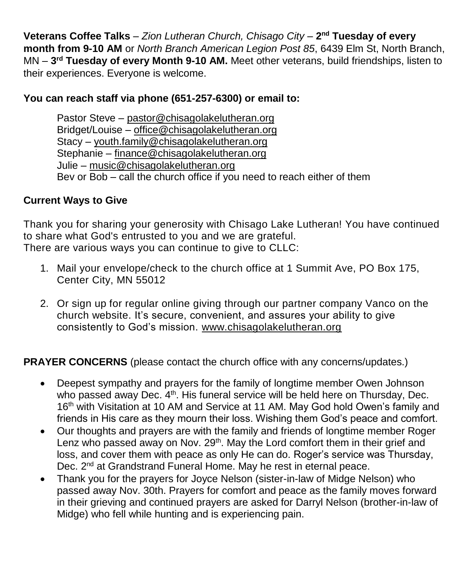**Veterans Coffee Talks** – *Zion Lutheran Church, Chisago City* – **2 nd Tuesday of every month from 9-10 AM** or *North Branch American Legion Post 85*, 6439 Elm St, North Branch, MN – **3 rd Tuesday of every Month 9-10 AM.** Meet other veterans, build friendships, listen to their experiences. Everyone is welcome.

#### **You can reach staff via phone (651-257-6300) or email to:**

Pastor Steve – [pastor@chisagolakelutheran.org](mailto:pastor@chisagolakelutheran.org) Bridget/Louise – [office@chisagolakelutheran.org](mailto:office@chisagolakelutheran.org) Stacy – [youth.family@chisagolakelutheran.org](mailto:youth.family@chisagolakelutheran.org) Stephanie – [finance@chisagolakelutheran.org](mailto:finance@chisagolakelutheran.org) Julie – [music@chisagolakelutheran.org](mailto:music@chisagolakelutheran.org) Bev or Bob – call the church office if you need to reach either of them

#### **Current Ways to Give**

Thank you for sharing your generosity with Chisago Lake Lutheran! You have continued to share what God's entrusted to you and we are grateful. There are various ways you can continue to give to CLLC:

- 1. Mail your envelope/check to the church office at 1 Summit Ave, PO Box 175, Center City, MN 55012
- 2. Or sign up for regular online giving through our partner company Vanco on the church [website.](https://www.eservicepayments.com/cgi-bin/Vanco_ver3.vps?appver3=wWsk24ZWJSTZKsGd1RMKlg0BDvsSG3VIWQCPJNNxD8upkiY7JlDavDsozUE7KG0nFx2NSo8LdUKGuGuF396vbUm5LNljBPNnBOEFTzKhxx-XHubq5Z7ap5JVmPErc4ZeYHCKCZhESjGNQmZ5B-6dx3x8KCRzq4DlLabxS1KshoM=&ver=3) It's secure, convenient, and assures your ability to give consistently to God's mission. [www.chisagolakelutheran.org](http://www.chisagolakelutheran.org/)

#### **PRAYER CONCERNS** (please contact the church office with any concerns/updates.)

- Deepest sympathy and prayers for the family of longtime member Owen Johnson who passed away Dec. 4<sup>th</sup>. His funeral service will be held here on Thursday, Dec. 16<sup>th</sup> with Visitation at 10 AM and Service at 11 AM. May God hold Owen's family and friends in His care as they mourn their loss. Wishing them God's peace and comfort.
- Our thoughts and prayers are with the family and friends of longtime member Roger Lenz who passed away on Nov. 29<sup>th</sup>. May the Lord comfort them in their grief and loss, and cover them with peace as only He can do. Roger's service was Thursday, Dec. 2<sup>nd</sup> at Grandstrand Funeral Home. May he rest in eternal peace.
- Thank you for the prayers for Joyce Nelson (sister-in-law of Midge Nelson) who passed away Nov. 30th. Prayers for comfort and peace as the family moves forward in their grieving and continued prayers are asked for Darryl Nelson (brother-in-law of Midge) who fell while hunting and is experiencing pain.